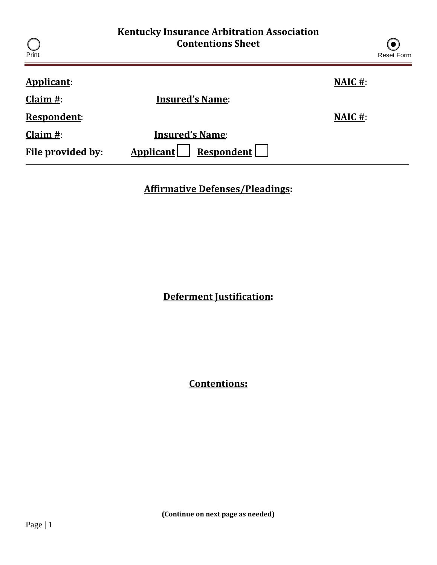| Print              | <b>Kentucky Insurance Arbitration Association</b><br><b>Contentions Sheet</b> |                | $\left( \bullet \right)$<br><b>Reset Form</b> |
|--------------------|-------------------------------------------------------------------------------|----------------|-----------------------------------------------|
| <b>Applicant:</b>  |                                                                               | <b>NAIC</b> #: |                                               |
| Claim $#$ :        | <b>Insured's Name:</b>                                                        |                |                                               |
| <b>Respondent:</b> |                                                                               | <b>NAIC</b> #: |                                               |
| Claim $#$ :        | <b>Insured's Name:</b>                                                        |                |                                               |
| File provided by:  | Applicant<br><b>Respondent</b>                                                |                |                                               |

**Affirmative Defenses/Pleadings:**

**Deferment Justification:**

**Contentions:**

**(Continue on next page as needed)**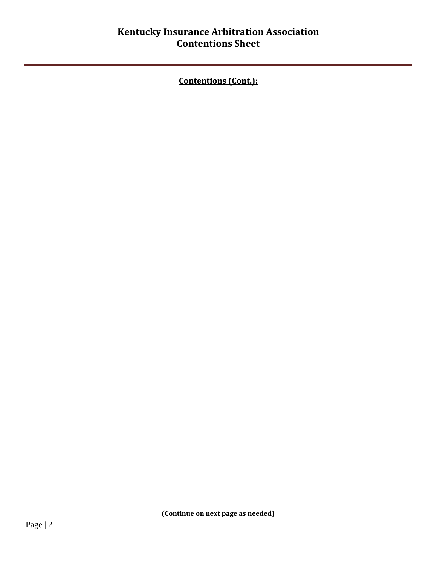**Contentions (Cont.):**

**(Continue on next page as needed)**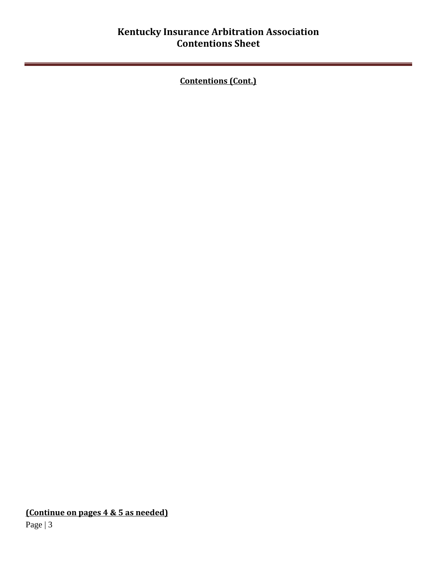## **Kentucky Insurance Arbitration Association Contentions Sheet**

**Contentions (Cont.)**

**(Continue on pages 4 & 5 as needed)**

Page | 3